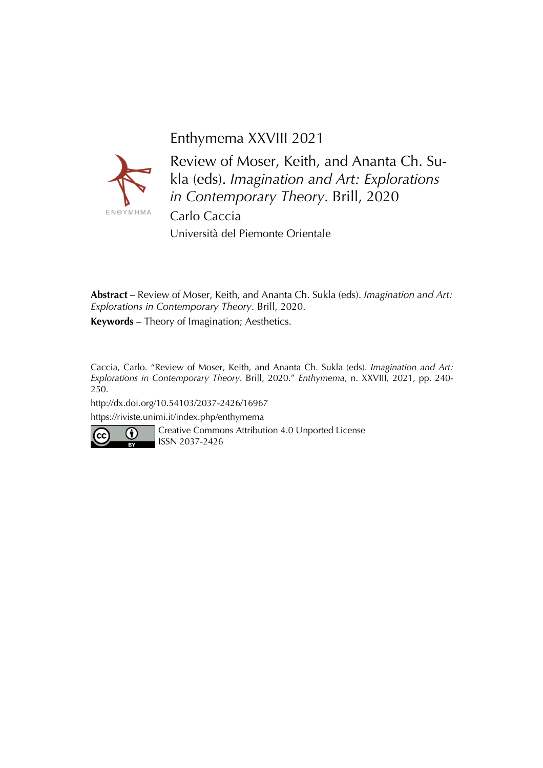



Review of Moser, Keith, and Ananta Ch. Sukla (eds). *Imagination and Art: Explorations in Contemporary Theory*. Brill, 2020 Carlo Caccia Università del Piemonte Orientale

**Abstract** – Review of Moser, Keith, and Ananta Ch. Sukla (eds). *Imagination and Art: Explorations in Contemporary Theory*. Brill, 2020. **Keywords** – Theory of Imagination; Aesthetics.

Caccia, Carlo. "Review of Moser, Keith, and Ananta Ch. Sukla (eds). *Imagination and Art: Explorations in Contemporary Theory*. Brill, 2020." *Enthymema*, n. XXVIII, 2021, pp. 240- 250.

http://dx.doi.org/10.54103/2037-2426/16967

https://riviste.unimi.it/index.php/enthymema



Creative Commons Attribution 4.0 Unported License ISSN 2037-2426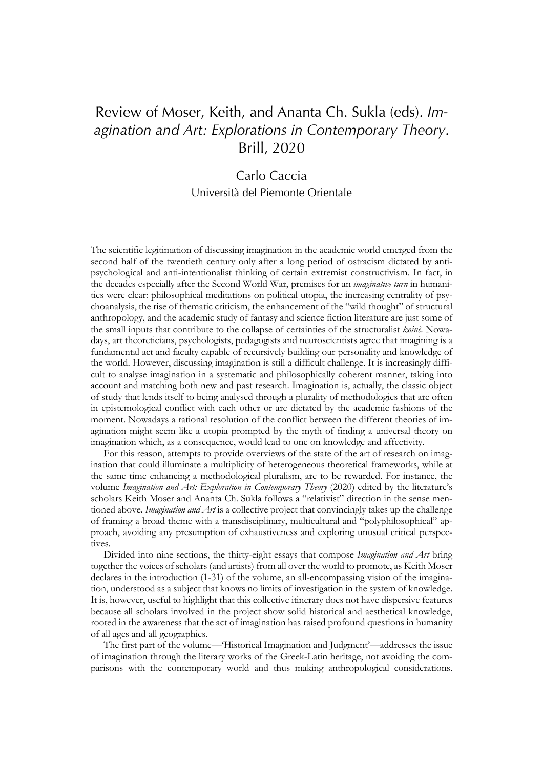# Review of Moser, Keith, and Ananta Ch. Sukla (eds). *Imagination and Art: Explorations in Contemporary Theory*. Brill, 2020

# Carlo Caccia Università del Piemonte Orientale

The scientific legitimation of discussing imagination in the academic world emerged from the second half of the twentieth century only after a long period of ostracism dictated by antipsychological and anti-intentionalist thinking of certain extremist constructivism. In fact, in the decades especially after the Second World War, premises for an *imaginative turn* in humanities were clear: philosophical meditations on political utopia, the increasing centrality of psychoanalysis, the rise of thematic criticism, the enhancement of the "wild thought" of structural anthropology, and the academic study of fantasy and science fiction literature are just some of the small inputs that contribute to the collapse of certainties of the structuralist *koinè*. Nowadays, art theoreticians, psychologists, pedagogists and neuroscientists agree that imagining is a fundamental act and faculty capable of recursively building our personality and knowledge of the world. However, discussing imagination is still a difficult challenge. It is increasingly difficult to analyse imagination in a systematic and philosophically coherent manner, taking into account and matching both new and past research. Imagination is, actually, the classic object of study that lends itself to being analysed through a plurality of methodologies that are often in epistemological conflict with each other or are dictated by the academic fashions of the moment. Nowadays a rational resolution of the conflict between the different theories of imagination might seem like a utopia prompted by the myth of finding a universal theory on imagination which, as a consequence, would lead to one on knowledge and affectivity.

For this reason, attempts to provide overviews of the state of the art of research on imagination that could illuminate a multiplicity of heterogeneous theoretical frameworks, while at the same time enhancing a methodological pluralism, are to be rewarded. For instance, the volume *Imagination and Art: Exploration in Contemporary Theory* (2020) edited by the literature's scholars Keith Moser and Ananta Ch. Sukla follows a "relativist" direction in the sense mentioned above. *Imagination and Art* is a collective project that convincingly takes up the challenge of framing a broad theme with a transdisciplinary, multicultural and "polyphilosophical" approach, avoiding any presumption of exhaustiveness and exploring unusual critical perspectives.

Divided into nine sections, the thirty-eight essays that compose *Imagination and Art* bring together the voices of scholars (and artists) from all over the world to promote, as Keith Moser declares in the introduction (1-31) of the volume, an all-encompassing vision of the imagination, understood as a subject that knows no limits of investigation in the system of knowledge. It is, however, useful to highlight that this collective itinerary does not have dispersive features because all scholars involved in the project show solid historical and aesthetical knowledge, rooted in the awareness that the act of imagination has raised profound questions in humanity of all ages and all geographies.

The first part of the volume—'Historical Imagination and Judgment'—addresses the issue of imagination through the literary works of the Greek-Latin heritage, not avoiding the comparisons with the contemporary world and thus making anthropological considerations.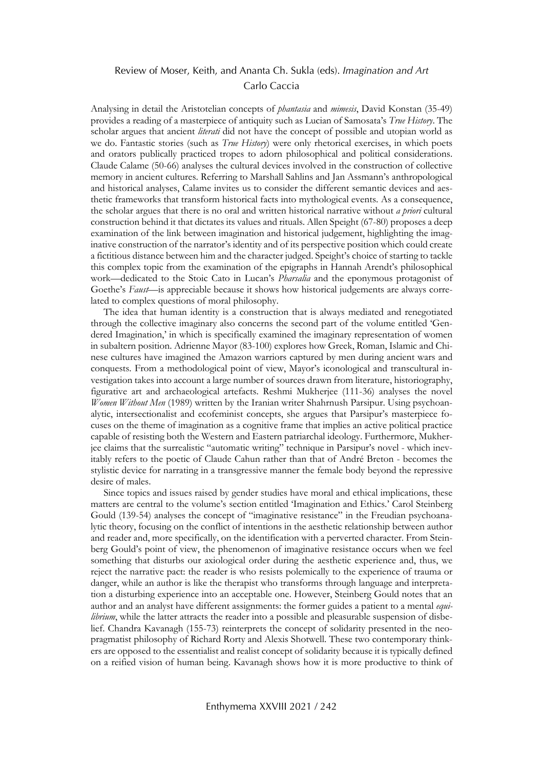Analysing in detail the Aristotelian concepts of *phantasia* and *mimesis*, David Konstan (35-49) provides a reading of a masterpiece of antiquity such as Lucian of Samosata's *True History*. The scholar argues that ancient *literati* did not have the concept of possible and utopian world as we do. Fantastic stories (such as *True History*) were only rhetorical exercises, in which poets and orators publically practiced tropes to adorn philosophical and political considerations. Claude Calame (50-66) analyses the cultural devices involved in the construction of collective memory in ancient cultures. Referring to Marshall Sahlins and Jan Assmann's anthropological and historical analyses, Calame invites us to consider the different semantic devices and aesthetic frameworks that transform historical facts into mythological events. As a consequence, the scholar argues that there is no oral and written historical narrative without *a priori* cultural construction behind it that dictates its values and rituals. Allen Speight (67-80) proposes a deep examination of the link between imagination and historical judgement, highlighting the imaginative construction of the narrator's identity and of its perspective position which could create a fictitious distance between him and the character judged. Speight's choice of starting to tackle this complex topic from the examination of the epigraphs in Hannah Arendt's philosophical work—dedicated to the Stoic Cato in Lucan's *Pharsalia* and the eponymous protagonist of Goethe's *Faust*—is appreciable because it shows how historical judgements are always correlated to complex questions of moral philosophy.

The idea that human identity is a construction that is always mediated and renegotiated through the collective imaginary also concerns the second part of the volume entitled 'Gendered Imagination,' in which is specifically examined the imaginary representation of women in subaltern position. Adrienne Mayor (83-100) explores how Greek, Roman, Islamic and Chinese cultures have imagined the Amazon warriors captured by men during ancient wars and conquests. From a methodological point of view, Mayor's iconological and transcultural investigation takes into account a large number of sources drawn from literature, historiography, figurative art and archaeological artefacts. Reshmi Mukherjee (111-36) analyses the novel *Women Without Men* (1989) written by the Iranian writer Shahrnush Parsipur. Using psychoanalytic, intersectionalist and ecofeminist concepts, she argues that Parsipur's masterpiece focuses on the theme of imagination as a cognitive frame that implies an active political practice capable of resisting both the Western and Eastern patriarchal ideology. Furthermore, Mukherjee claims that the surrealistic "automatic writing" technique in Parsipur's novel - which inevitably refers to the poetic of Claude Cahun rather than that of André Breton - becomes the stylistic device for narrating in a transgressive manner the female body beyond the repressive desire of males.

Since topics and issues raised by gender studies have moral and ethical implications, these matters are central to the volume's section entitled 'Imagination and Ethics.' Carol Steinberg Gould (139-54) analyses the concept of "imaginative resistance" in the Freudian psychoanalytic theory, focusing on the conflict of intentions in the aesthetic relationship between author and reader and, more specifically, on the identification with a perverted character. From Steinberg Gould's point of view, the phenomenon of imaginative resistance occurs when we feel something that disturbs our axiological order during the aesthetic experience and, thus, we reject the narrative pact: the reader is who resists polemically to the experience of trauma or danger, while an author is like the therapist who transforms through language and interpretation a disturbing experience into an acceptable one. However, Steinberg Gould notes that an author and an analyst have different assignments: the former guides a patient to a mental *equilibrium*, while the latter attracts the reader into a possible and pleasurable suspension of disbelief. Chandra Kavanagh (155-73) reinterprets the concept of solidarity presented in the neopragmatist philosophy of Richard Rorty and Alexis Shotwell. These two contemporary thinkers are opposed to the essentialist and realist concept of solidarity because it is typically defined on a reified vision of human being. Kavanagh shows how it is more productive to think of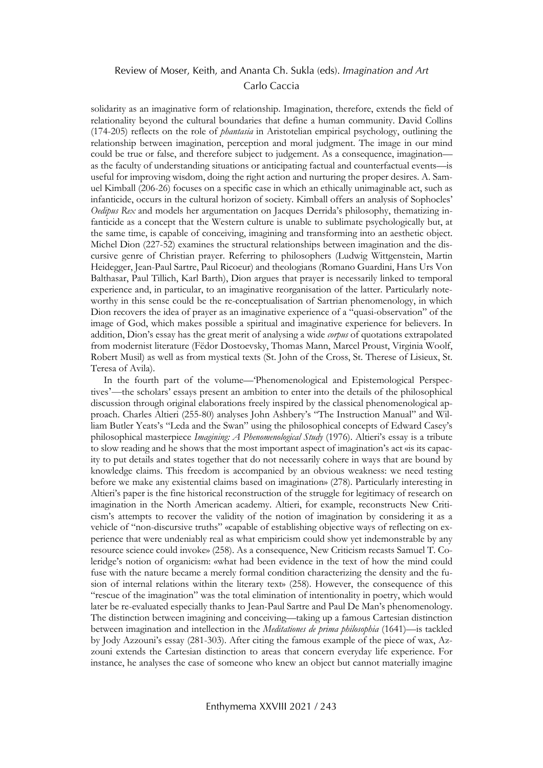solidarity as an imaginative form of relationship. Imagination, therefore, extends the field of relationality beyond the cultural boundaries that define a human community. David Collins (174-205) reflects on the role of *phantasia* in Aristotelian empirical psychology, outlining the relationship between imagination, perception and moral judgment. The image in our mind could be true or false, and therefore subject to judgement. As a consequence, imagination as the faculty of understanding situations or anticipating factual and counterfactual events—is useful for improving wisdom, doing the right action and nurturing the proper desires. A. Samuel Kimball (206-26) focuses on a specific case in which an ethically unimaginable act, such as infanticide, occurs in the cultural horizon of society. Kimball offers an analysis of Sophocles' *Oedipus Rex* and models her argumentation on Jacques Derrida's philosophy, thematizing infanticide as a concept that the Western culture is unable to sublimate psychologically but, at the same time, is capable of conceiving, imagining and transforming into an aesthetic object. Michel Dion (227-52) examines the structural relationships between imagination and the discursive genre of Christian prayer. Referring to philosophers (Ludwig Wittgenstein, Martin Heidegger, Jean-Paul Sartre, Paul Ricoeur) and theologians (Romano Guardini, Hans Urs Von Balthasar, Paul Tillich, Karl Barth), Dion argues that prayer is necessarily linked to temporal experience and, in particular, to an imaginative reorganisation of the latter. Particularly noteworthy in this sense could be the re-conceptualisation of Sartrian phenomenology, in which Dion recovers the idea of prayer as an imaginative experience of a "quasi-observation" of the image of God, which makes possible a spiritual and imaginative experience for believers. In addition, Dion's essay has the great merit of analysing a wide *corpus* of quotations extrapolated from modernist literature (Fëdor Dostoevsky, Thomas Mann, Marcel Proust, Virginia Woolf, Robert Musil) as well as from mystical texts (St. John of the Cross, St. Therese of Lisieux, St. Teresa of Avila).

In the fourth part of the volume—'Phenomenological and Epistemological Perspectives'—the scholars' essays present an ambition to enter into the details of the philosophical discussion through original elaborations freely inspired by the classical phenomenological approach. Charles Altieri (255-80) analyses John Ashbery's "The Instruction Manual" and William Butler Yeats's "Leda and the Swan" using the philosophical concepts of Edward Casey's philosophical masterpiece *Imagining: A Phenomenological Study* (1976). Altieri's essay is a tribute to slow reading and he shows that the most important aspect of imagination's act «is its capacity to put details and states together that do not necessarily cohere in ways that are bound by knowledge claims. This freedom is accompanied by an obvious weakness: we need testing before we make any existential claims based on imagination» (278). Particularly interesting in Altieri's paper is the fine historical reconstruction of the struggle for legitimacy of research on imagination in the North American academy. Altieri, for example, reconstructs New Criticism's attempts to recover the validity of the notion of imagination by considering it as a vehicle of "non-discursive truths" «capable of establishing objective ways of reflecting on experience that were undeniably real as what empiricism could show yet indemonstrable by any resource science could invoke» (258). As a consequence, New Criticism recasts Samuel T. Coleridge's notion of organicism: «what had been evidence in the text of how the mind could fuse with the nature became a merely formal condition characterizing the density and the fusion of internal relations within the literary text» (258). However, the consequence of this "rescue of the imagination" was the total elimination of intentionality in poetry, which would later be re-evaluated especially thanks to Jean-Paul Sartre and Paul De Man's phenomenology. The distinction between imagining and conceiving—taking up a famous Cartesian distinction between imagination and intellection in the *Meditationes de prima philosophia* (1641)—is tackled by Jody Azzouni's essay (281-303). After citing the famous example of the piece of wax, Azzouni extends the Cartesian distinction to areas that concern everyday life experience. For instance, he analyses the case of someone who knew an object but cannot materially imagine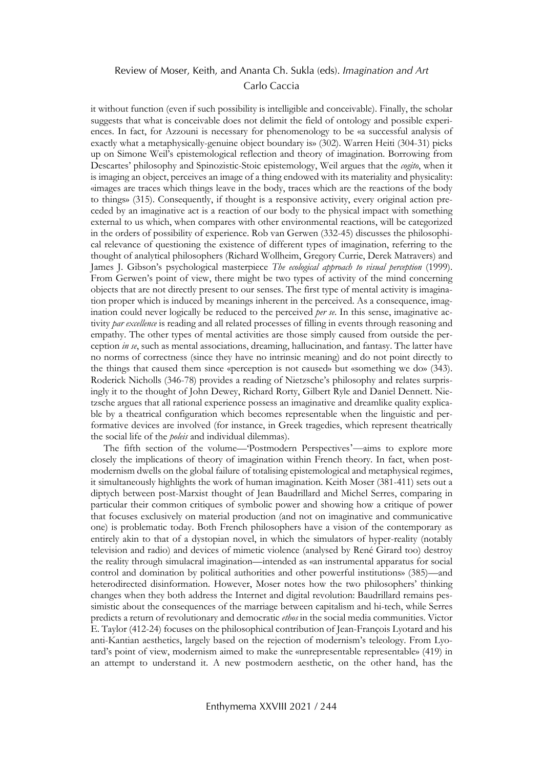it without function (even if such possibility is intelligible and conceivable). Finally, the scholar suggests that what is conceivable does not delimit the field of ontology and possible experiences. In fact, for Azzouni is necessary for phenomenology to be «a successful analysis of exactly what a metaphysically-genuine object boundary is» (302). Warren Heiti (304-31) picks up on Simone Weil's epistemological reflection and theory of imagination. Borrowing from Descartes' philosophy and Spinozistic-Stoic epistemology, Weil argues that the *cogito*, when it is imaging an object, perceives an image of a thing endowed with its materiality and physicality: «images are traces which things leave in the body, traces which are the reactions of the body to things» (315). Consequently, if thought is a responsive activity, every original action preceded by an imaginative act is a reaction of our body to the physical impact with something external to us which, when compares with other environmental reactions, will be categorized in the orders of possibility of experience. Rob van Gerwen (332-45) discusses the philosophical relevance of questioning the existence of different types of imagination, referring to the thought of analytical philosophers (Richard Wollheim, Gregory Currie, Derek Matravers) and James J. Gibson's psychological masterpiece *The ecological approach to visual perception* (1999). From Gerwen's point of view, there might be two types of activity of the mind concerning objects that are not directly present to our senses. The first type of mental activity is imagination proper which is induced by meanings inherent in the perceived. As a consequence, imagination could never logically be reduced to the perceived *per se*. In this sense, imaginative activity *par excellence* is reading and all related processes of filling in events through reasoning and empathy. The other types of mental activities are those simply caused from outside the perception *in se*, such as mental associations, dreaming, hallucination, and fantasy. The latter have no norms of correctness (since they have no intrinsic meaning) and do not point directly to the things that caused them since «perception is not caused» but «something we do» (343). Roderick Nicholls (346-78) provides a reading of Nietzsche's philosophy and relates surprisingly it to the thought of John Dewey, Richard Rorty, Gilbert Ryle and Daniel Dennett. Nietzsche argues that all rational experience possess an imaginative and dreamlike quality explicable by a theatrical configuration which becomes representable when the linguistic and performative devices are involved (for instance, in Greek tragedies, which represent theatrically the social life of the *poleis* and individual dilemmas).

The fifth section of the volume—'Postmodern Perspectives'—aims to explore more closely the implications of theory of imagination within French theory. In fact, when postmodernism dwells on the global failure of totalising epistemological and metaphysical regimes, it simultaneously highlights the work of human imagination. Keith Moser (381-411) sets out a diptych between post-Marxist thought of Jean Baudrillard and Michel Serres, comparing in particular their common critiques of symbolic power and showing how a critique of power that focuses exclusively on material production (and not on imaginative and communicative one) is problematic today. Both French philosophers have a vision of the contemporary as entirely akin to that of a dystopian novel, in which the simulators of hyper-reality (notably television and radio) and devices of mimetic violence (analysed by René Girard too) destroy the reality through simulacral imagination—intended as «an instrumental apparatus for social control and domination by political authorities and other powerful institutions» (385)—and heterodirected disinformation. However, Moser notes how the two philosophers' thinking changes when they both address the Internet and digital revolution: Baudrillard remains pessimistic about the consequences of the marriage between capitalism and hi-tech, while Serres predicts a return of revolutionary and democratic *ethos* in the social media communities. Victor E. Taylor (412-24) focuses on the philosophical contribution of Jean-François Lyotard and his anti-Kantian aesthetics, largely based on the rejection of modernism's teleology. From Lyotard's point of view, modernism aimed to make the «unrepresentable representable» (419) in an attempt to understand it. A new postmodern aesthetic, on the other hand, has the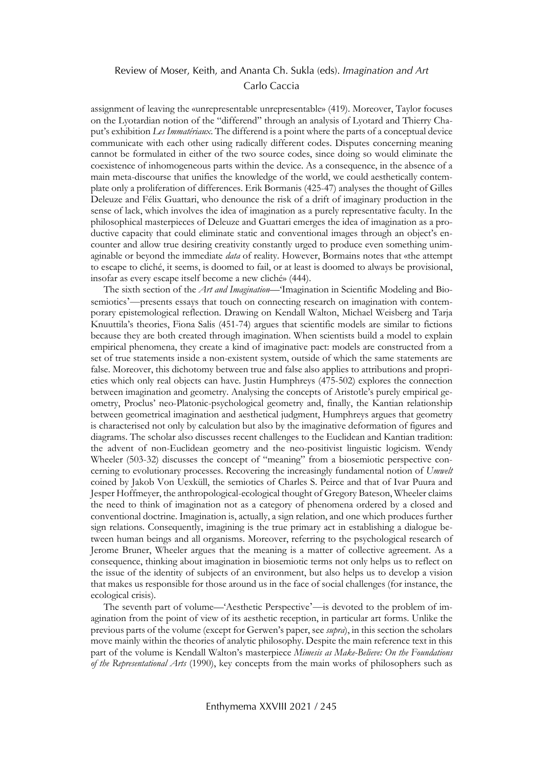assignment of leaving the «unrepresentable unrepresentable» (419). Moreover, Taylor focuses on the Lyotardian notion of the "differend" through an analysis of Lyotard and Thierry Chaput's exhibition *Les Immatériaux*. The differend is a point where the parts of a conceptual device communicate with each other using radically different codes. Disputes concerning meaning cannot be formulated in either of the two source codes, since doing so would eliminate the coexistence of inhomogeneous parts within the device. As a consequence, in the absence of a main meta-discourse that unifies the knowledge of the world, we could aesthetically contemplate only a proliferation of differences. Erik Bormanis (425-47) analyses the thought of Gilles Deleuze and Félix Guattari, who denounce the risk of a drift of imaginary production in the sense of lack, which involves the idea of imagination as a purely representative faculty. In the philosophical masterpieces of Deleuze and Guattari emerges the idea of imagination as a productive capacity that could eliminate static and conventional images through an object's encounter and allow true desiring creativity constantly urged to produce even something unimaginable or beyond the immediate *data* of reality. However, Bormains notes that «the attempt to escape to cliché, it seems, is doomed to fail, or at least is doomed to always be provisional, insofar as every escape itself become a new cliché» (444).

The sixth section of the *Art and Imagination*—'Imagination in Scientific Modeling and Biosemiotics'—presents essays that touch on connecting research on imagination with contemporary epistemological reflection. Drawing on Kendall Walton, Michael Weisberg and Tarja Knuuttila's theories, Fiona Salis (451-74) argues that scientific models are similar to fictions because they are both created through imagination. When scientists build a model to explain empirical phenomena, they create a kind of imaginative pact: models are constructed from a set of true statements inside a non-existent system, outside of which the same statements are false. Moreover, this dichotomy between true and false also applies to attributions and proprieties which only real objects can have. Justin Humphreys (475-502) explores the connection between imagination and geometry. Analysing the concepts of Aristotle's purely empirical geometry, Proclus' neo-Platonic-psychological geometry and, finally, the Kantian relationship between geometrical imagination and aesthetical judgment, Humphreys argues that geometry is characterised not only by calculation but also by the imaginative deformation of figures and diagrams. The scholar also discusses recent challenges to the Euclidean and Kantian tradition: the advent of non-Euclidean geometry and the neo-positivist linguistic logicism. Wendy Wheeler (503-32) discusses the concept of "meaning" from a biosemiotic perspective concerning to evolutionary processes. Recovering the increasingly fundamental notion of *Umwelt* coined by Jakob Von Uexküll, the semiotics of Charles S. Peirce and that of Ivar Puura and Jesper Hoffmeyer, the anthropological-ecological thought of Gregory Bateson, Wheeler claims the need to think of imagination not as a category of phenomena ordered by a closed and conventional doctrine. Imagination is, actually, a sign relation, and one which produces further sign relations. Consequently, imagining is the true primary act in establishing a dialogue between human beings and all organisms. Moreover, referring to the psychological research of Jerome Bruner, Wheeler argues that the meaning is a matter of collective agreement. As a consequence, thinking about imagination in biosemiotic terms not only helps us to reflect on the issue of the identity of subjects of an environment, but also helps us to develop a vision that makes us responsible for those around us in the face of social challenges (for instance, the ecological crisis).

The seventh part of volume—'Aesthetic Perspective'—is devoted to the problem of imagination from the point of view of its aesthetic reception, in particular art forms. Unlike the previous parts of the volume (except for Gerwen's paper, see *supra*), in this section the scholars move mainly within the theories of analytic philosophy. Despite the main reference text in this part of the volume is Kendall Walton's masterpiece *Mimesis as Make-Believe: On the Foundations of the Representational Arts* (1990), key concepts from the main works of philosophers such as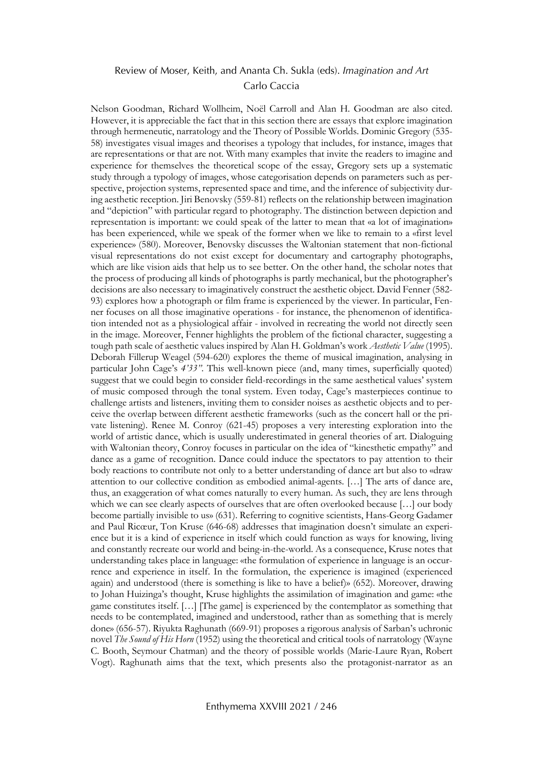Nelson Goodman, Richard Wollheim, Noël Carroll and Alan H. Goodman are also cited. However, it is appreciable the fact that in this section there are essays that explore imagination through hermeneutic, narratology and the Theory of Possible Worlds. Dominic Gregory (535- 58) investigates visual images and theorises a typology that includes, for instance, images that are representations or that are not. With many examples that invite the readers to imagine and experience for themselves the theoretical scope of the essay, Gregory sets up a systematic study through a typology of images, whose categorisation depends on parameters such as perspective, projection systems, represented space and time, and the inference of subjectivity during aesthetic reception. Jiri Benovsky (559-81) reflects on the relationship between imagination and "depiction" with particular regard to photography. The distinction between depiction and representation is important: we could speak of the latter to mean that «a lot of imagination» has been experienced, while we speak of the former when we like to remain to a «first level experience» (580). Moreover, Benovsky discusses the Waltonian statement that non-fictional visual representations do not exist except for documentary and cartography photographs, which are like vision aids that help us to see better. On the other hand, the scholar notes that the process of producing all kinds of photographs is partly mechanical, but the photographer's decisions are also necessary to imaginatively construct the aesthetic object. David Fenner (582- 93) explores how a photograph or film frame is experienced by the viewer. In particular, Fenner focuses on all those imaginative operations - for instance, the phenomenon of identification intended not as a physiological affair - involved in recreating the world not directly seen in the image. Moreover, Fenner highlights the problem of the fictional character, suggesting a tough path scale of aesthetic values inspired by Alan H. Goldman's work *Aesthetic Value* (1995). Deborah Fillerup Weagel (594-620) explores the theme of musical imagination, analysing in particular John Cage's *4'33"*. This well-known piece (and, many times, superficially quoted) suggest that we could begin to consider field-recordings in the same aesthetical values' system of music composed through the tonal system. Even today, Cage's masterpieces continue to challenge artists and listeners, inviting them to consider noises as aesthetic objects and to perceive the overlap between different aesthetic frameworks (such as the concert hall or the private listening). Renee M. Conroy (621-45) proposes a very interesting exploration into the world of artistic dance, which is usually underestimated in general theories of art. Dialoguing with Waltonian theory, Conroy focuses in particular on the idea of "kinesthetic empathy" and dance as a game of recognition. Dance could induce the spectators to pay attention to their body reactions to contribute not only to a better understanding of dance art but also to «draw attention to our collective condition as embodied animal-agents. […] The arts of dance are, thus, an exaggeration of what comes naturally to every human. As such, they are lens through which we can see clearly aspects of ourselves that are often overlooked because […] our body become partially invisible to us» (631). Referring to cognitive scientists, Hans-Georg Gadamer and Paul Ricœur, Ton Kruse (646-68) addresses that imagination doesn't simulate an experience but it is a kind of experience in itself which could function as ways for knowing, living and constantly recreate our world and being-in-the-world. As a consequence, Kruse notes that understanding takes place in language: «the formulation of experience in language is an occurrence and experience in itself. In the formulation, the experience is imagined (experienced again) and understood (there is something is like to have a belief)» (652). Moreover, drawing to Johan Huizinga's thought, Kruse highlights the assimilation of imagination and game: «the game constitutes itself. […] [The game] is experienced by the contemplator as something that needs to be contemplated, imagined and understood, rather than as something that is merely done» (656-57). Riyukta Raghunath (669-91) proposes a rigorous analysis of Sarban's uchronic novel *The Sound of His Horn* (1952) using the theoretical and critical tools of narratology (Wayne C. Booth, Seymour Chatman) and the theory of possible worlds (Marie-Laure Ryan, Robert Vogt). Raghunath aims that the text, which presents also the protagonist-narrator as an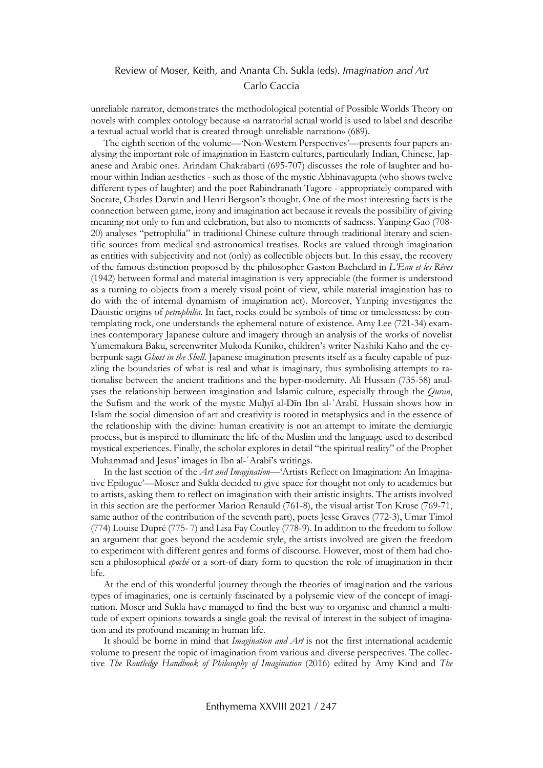unreliable narrator, demonstrates the methodological potential of Possible Worlds Theory on novels with complex ontology because «a narratorial actual world is used to label and describe a textual actual world that is created through unreliable narration» (689).

The eighth section of the volume—'Non-Western Perspectives'—presents four papers analysing the important role of imagination in Eastern cultures, particularly Indian, Chinese, Japanese and Arabic ones. Arindam Chakrabarti (695-707) discusses the role of laughter and humour within Indian aesthetics - such as those of the mystic Abhinavagupta (who shows twelve different types of laughter) and the poet Rabindranath Tagore - appropriately compared with Socrate, Charles Darwin and Henri Bergson's thought. One of the most interesting facts is the connection between game, irony and imagination act because it reveals the possibility of giving meaning not only to fun and celebration, but also to moments of sadness. Yanping Gao (708- 20) analyses "petrophilia" in traditional Chinese culture through traditional literary and scientific sources from medical and astronomical treatises. Rocks are valued through imagination as entities with subjectivity and not (only) as collectible objects but. In this essay, the recovery of the famous distinction proposed by the philosopher Gaston Bachelard in *L'Eau et les Rêves* (1942) between formal and material imagination is very appreciable (the former is understood as a turning to objects from a merely visual point of view, while material imagination has to do with the of internal dynamism of imagination act). Moreover, Yanping investigates the Daoistic origins of *petrophilia*. In fact, rocks could be symbols of time or timelessness: by contemplating rock, one understands the ephemeral nature of existence. Amy Lee (721-34) examines contemporary Japanese culture and imagery through an analysis of the works of novelist Yumemakura Baku, screenwriter Mukoda Kuniko, children's writer Nashiki Kaho and the cyberpunk saga *Ghost in the Shell*. Japanese imagination presents itself as a faculty capable of puzzling the boundaries of what is real and what is imaginary, thus symbolising attempts to rationalise between the ancient traditions and the hyper-modernity. Ali Hussain (735-58) analyses the relationship between imagination and Islamic culture, especially through the *Quran*, the Sufism and the work of the mystic Muḥyī al-Dīn Ibn al-ʿArabī. Hussain shows how in Islam the social dimension of art and creativity is rooted in metaphysics and in the essence of the relationship with the divine: human creativity is not an attempt to imitate the demiurgic process, but is inspired to illuminate the life of the Muslim and the language used to described mystical experiences. Finally, the scholar explores in detail "the spiritual reality" of the Prophet Muhammad and Jesus' images in Ibn al-ʿArabī's writings.

In the last section of the *Art and Imagination*—'Artists Reflect on Imagination: An Imaginative Epilogue'—Moser and Sukla decided to give space for thought not only to academics but to artists, asking them to reflect on imagination with their artistic insights. The artists involved in this section are the performer Marion Renauld (761-8), the visual artist Ton Kruse (769-71, same author of the contribution of the seventh part), poets Jesse Graves (772-3), Umar Timol (774) Louise Dupré (775- 7) and Lisa Fay Coutley (778-9). In addition to the freedom to follow an argument that goes beyond the academic style, the artists involved are given the freedom to experiment with different genres and forms of discourse. However, most of them had chosen a philosophical *epoché* or a sort-of diary form to question the role of imagination in their life.

At the end of this wonderful journey through the theories of imagination and the various types of imaginaries, one is certainly fascinated by a polysemic view of the concept of imagination. Moser and Sukla have managed to find the best way to organise and channel a multitude of expert opinions towards a single goal: the revival of interest in the subject of imagination and its profound meaning in human life.

It should be borne in mind that *Imagination and Art* is not the first international academic volume to present the topic of imagination from various and diverse perspectives. The collective *The Routledge Handbook of Philosophy of Imagination* (2016) edited by Amy Kind and *The*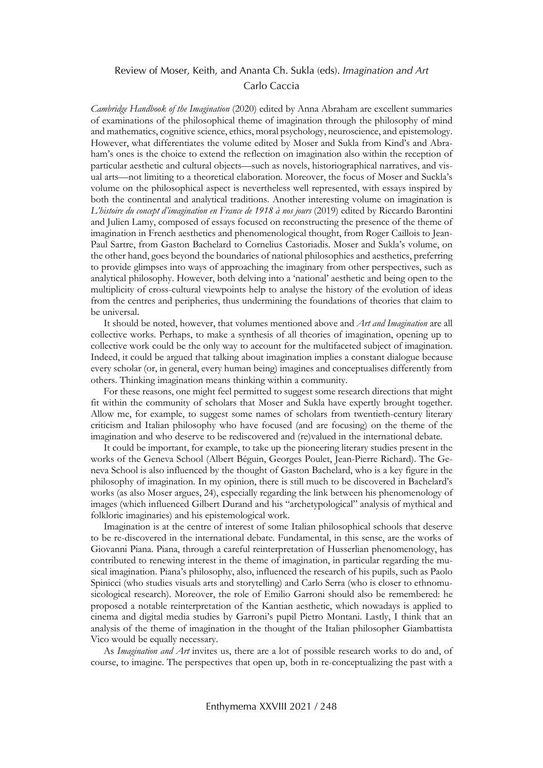*Cambridge Handbook of the Imagination* (2020) edited by Anna Abraham are excellent summaries of examinations of the philosophical theme of imagination through the philosophy of mind and mathematics, cognitive science, ethics, moral psychology, neuroscience, and epistemology. However, what differentiates the volume edited by Moser and Sukla from Kind's and Abraham's ones is the choice to extend the reflection on imagination also within the reception of particular aesthetic and cultural objects—such as novels, historiographical narratives, and visual arts—not limiting to a theoretical elaboration. Moreover, the focus of Moser and Suckla's volume on the philosophical aspect is nevertheless well represented, with essays inspired by both the continental and analytical traditions. Another interesting volume on imagination is *L'histoire du concept d'imagination en France de 1918 à nos jours* (2019) edited by Riccardo Barontini and Julien Lamy, composed of essays focused on reconstructing the presence of the theme of imagination in French aesthetics and phenomenological thought, from Roger Caillois to Jean-Paul Sartre, from Gaston Bachelard to Cornelius Castoriadis. Moser and Sukla's volume, on the other hand, goes beyond the boundaries of national philosophies and aesthetics, preferring to provide glimpses into ways of approaching the imaginary from other perspectives, such as analytical philosophy. However, both delving into a 'national' aesthetic and being open to the multiplicity of cross-cultural viewpoints help to analyse the history of the evolution of ideas from the centres and peripheries, thus undermining the foundations of theories that claim to be universal.

It should be noted, however, that volumes mentioned above and *Art and Imagination* are all collective works. Perhaps, to make a synthesis of all theories of imagination, opening up to collective work could be the only way to account for the multifaceted subject of imagination. Indeed, it could be argued that talking about imagination implies a constant dialogue because every scholar (or, in general, every human being) imagines and conceptualises differently from others. Thinking imagination means thinking within a community.

For these reasons, one might feel permitted to suggest some research directions that might fit within the community of scholars that Moser and Sukla have expertly brought together. Allow me, for example, to suggest some names of scholars from twentieth-century literary criticism and Italian philosophy who have focused (and are focusing) on the theme of the imagination and who deserve to be rediscovered and (re)valued in the international debate.

It could be important, for example, to take up the pioneering literary studies present in the works of the Geneva School (Albert Béguin, Georges Poulet, Jean-Pierre Richard). The Geneva School is also influenced by the thought of Gaston Bachelard, who is a key figure in the philosophy of imagination. In my opinion, there is still much to be discovered in Bachelard's works (as also Moser argues, 24), especially regarding the link between his phenomenology of images (which influenced Gilbert Durand and his "archetypological" analysis of mythical and folkloric imaginaries) and his epistemological work.

Imagination is at the centre of interest of some Italian philosophical schools that deserve to be re-discovered in the international debate. Fundamental, in this sense, are the works of Giovanni Piana. Piana, through a careful reinterpretation of Husserlian phenomenology, has contributed to renewing interest in the theme of imagination, in particular regarding the musical imagination. Piana's philosophy, also, influenced the research of his pupils, such as Paolo Spinicci (who studies visuals arts and storytelling) and Carlo Serra (who is closer to ethnomusicological research). Moreover, the role of Emilio Garroni should also be remembered: he proposed a notable reinterpretation of the Kantian aesthetic, which nowadays is applied to cinema and digital media studies by Garroni's pupil Pietro Montani. Lastly, I think that an analysis of the theme of imagination in the thought of the Italian philosopher Giambattista Vico would be equally necessary.

As *Imagination and Art* invites us, there are a lot of possible research works to do and, of course, to imagine. The perspectives that open up, both in re-conceptualizing the past with a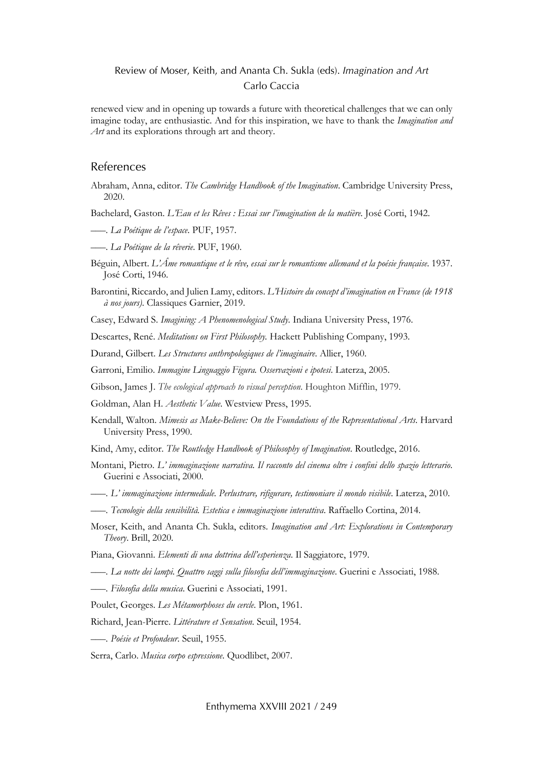renewed view and in opening up towards a future with theoretical challenges that we can only imagine today, are enthusiastic. And for this inspiration, we have to thank the *Imagination and Art* and its explorations through art and theory.

#### References

Abraham, Anna, editor. *The Cambridge Handbook of the Imagination*. Cambridge University Press, 2020.

Bachelard, Gaston. *L'Eau et les Rêves : Essai sur l'imagination de la matière*. José Corti, 1942.

- –––. *La Poétique de l'espace*. PUF, 1957.
- –––. *La Poétique de la rêverie*. PUF, 1960.
- Béguin, Albert. *L'Âme romantique et le rêve, essai sur le romantisme allemand et la poésie française*. 1937. José Corti, 1946.
- Barontini, Riccardo, and Julien Lamy, editors. *L'Histoire du concept d'imagination en France (de 1918 à nos jours)*. Classiques Garnier, 2019.

Casey, Edward S. *Imagining: A Phenomenological Study*. Indiana University Press, 1976.

Descartes, René. *Meditations on First Philosophy.* Hackett Publishing Company, 1993.

Durand, Gilbert. *Les Structures anthropologiques de l'imaginaire*. Allier, 1960.

Garroni, Emilio. *Immagine Linguaggio Figura. Osservazioni e ipotesi*. Laterza, 2005.

Gibson, James J. *The ecological approach to visual perception*. Houghton Mifflin, 1979.

Goldman, Alan H. *Aesthetic Value*. Westview Press, 1995.

- Kendall, Walton. *Mimesis as Make-Believe: On the Foundations of the Representational Arts*. Harvard University Press, 1990.
- Kind, Amy, editor. *The Routledge Handbook of Philosophy of Imagination*. Routledge, 2016.
- Montani, Pietro. *L' immaginazione narrativa. Il racconto del cinema oltre i confini dello spazio letterario*. Guerini e Associati, 2000.
- –––. *L' immaginazione intermediale. Perlustrare, rifigurare, testimoniare il mondo visibile*. Laterza, 2010.
- –––. *Tecnologie della sensibilità. Estetica e immaginazione interattiva*. Raffaello Cortina, 2014.
- Moser, Keith, and Ananta Ch. Sukla, editors. *Imagination and Art: Explorations in Contemporary Theory*. Brill, 2020.
- Piana, Giovanni. *Elementi di una dottrina dell'esperienza*. Il Saggiatore, 1979.

–––. *La notte dei lampi. Quattro saggi sulla filosofia dell'immaginazione*. Guerini e Associati, 1988.

–––. *Filosofia della musica*. Guerini e Associati, 1991.

Poulet, Georges. *Les Métamorphoses du cercle*. Plon, 1961.

Richard, Jean-Pierre. *Littérature et Sensation*. Seuil, 1954.

–––. *Poésie et Profondeur*. Seuil, 1955.

Serra, Carlo. *Musica corpo espressione*. Quodlibet, 2007.